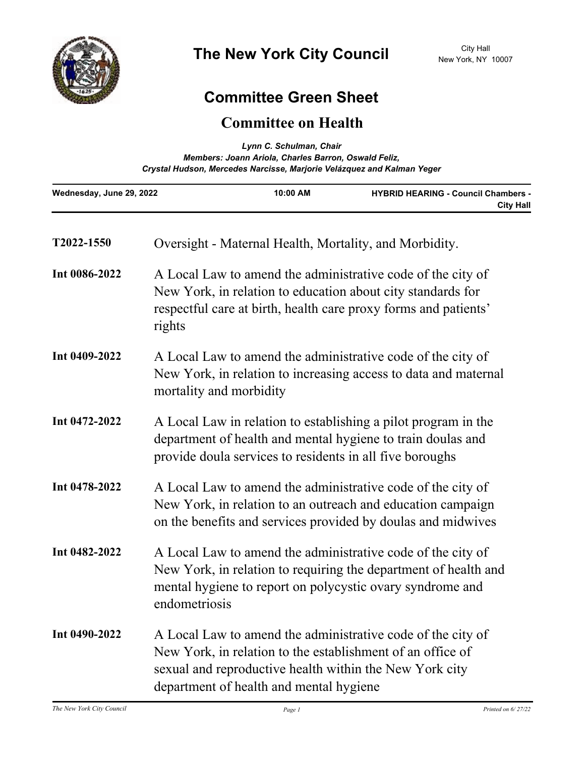

## **Committee Green Sheet**

## **Committee on Health**

| Lynn C. Schulman, Chair<br>Members: Joann Ariola, Charles Barron, Oswald Feliz,<br>Crystal Hudson, Mercedes Narcisse, Marjorie Velázquez and Kalman Yeger |                                                                                                                                                                                                                                 |          |                                                                |
|-----------------------------------------------------------------------------------------------------------------------------------------------------------|---------------------------------------------------------------------------------------------------------------------------------------------------------------------------------------------------------------------------------|----------|----------------------------------------------------------------|
| Wednesday, June 29, 2022                                                                                                                                  |                                                                                                                                                                                                                                 | 10:00 AM | <b>HYBRID HEARING - Council Chambers -</b><br><b>City Hall</b> |
| T2022-1550                                                                                                                                                |                                                                                                                                                                                                                                 |          | Oversight - Maternal Health, Mortality, and Morbidity.         |
| Int 0086-2022                                                                                                                                             | A Local Law to amend the administrative code of the city of<br>New York, in relation to education about city standards for<br>respectful care at birth, health care proxy forms and patients'<br>rights                         |          |                                                                |
| Int 0409-2022                                                                                                                                             | A Local Law to amend the administrative code of the city of<br>New York, in relation to increasing access to data and maternal<br>mortality and morbidity                                                                       |          |                                                                |
| Int 0472-2022                                                                                                                                             | A Local Law in relation to establishing a pilot program in the<br>department of health and mental hygiene to train doulas and<br>provide doula services to residents in all five boroughs                                       |          |                                                                |
| Int 0478-2022                                                                                                                                             | A Local Law to amend the administrative code of the city of<br>New York, in relation to an outreach and education campaign<br>on the benefits and services provided by doulas and midwives                                      |          |                                                                |
| Int 0482-2022                                                                                                                                             | A Local Law to amend the administrative code of the city of<br>New York, in relation to requiring the department of health and<br>mental hygiene to report on polycystic ovary syndrome and<br>endometriosis                    |          |                                                                |
| Int 0490-2022                                                                                                                                             | A Local Law to amend the administrative code of the city of<br>New York, in relation to the establishment of an office of<br>sexual and reproductive health within the New York city<br>department of health and mental hygiene |          |                                                                |